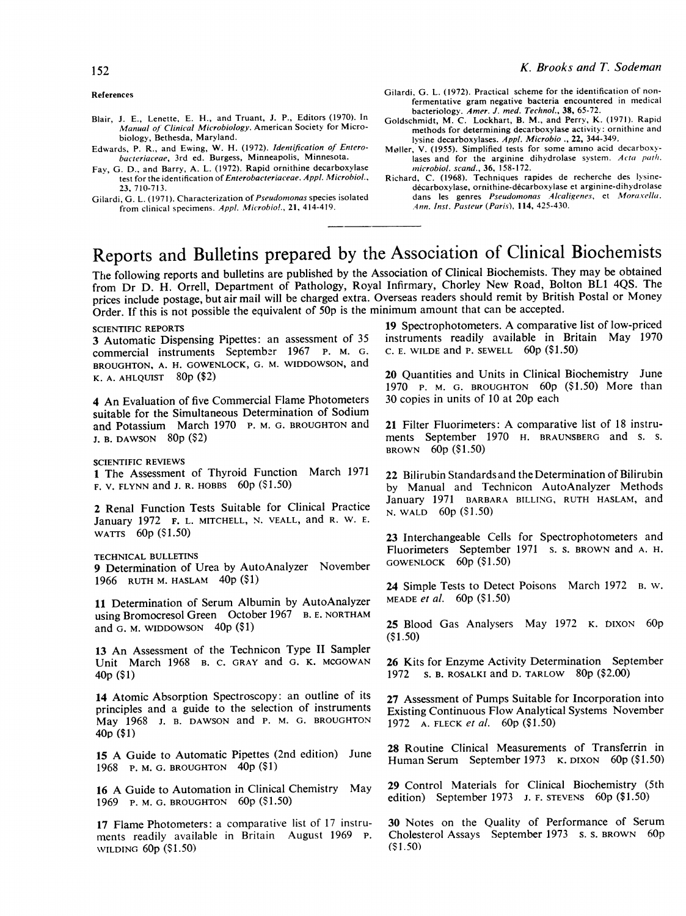### References

- Blair, J. E., Lenette, E. H., and Truant, J. P., Editors (1970). In Manual of Clinical Microbiology. American Society for Microbiology, Bethesda, Maryland.
- Edwards, P. R., and Ewing, W. H. (1972). Identification of Enterobacteriaceae, 3rd ed. Burgess, Minneapolis, Minnesota.
- Fav, G. D., and Barry, A. L. (1972). Rapid ornithine decarboxylase test for the identification of Enterobacteriaceae. Appl. Microbiol., 23, 710-713.
- Gilardi, G. L. (1971). Characterization of Pseudomonas species isolated from clinical specimens. Appl. Microbiol., 21, 414-419.
- Gilardi, G. L. (1972). Practical scheme for the identification of nonfermentative gram negative bacteria encountered in medical
- bacteriology. Amer. J. med. Technol., 38, 65-72.<br>Goldschmidt, M. C. Lockhart, B. M., and Perry, K. (1971). Rapid methods for determining decarboxylase activity: ornithine and lysine decarboxylases. Appl. Microbio ., 22, 344-349.
- Møller, V. (1955). Simplified tests for some amino acid decarboxylases and for the arginine dihydrolase system. Acta path. microbiol. scand., 36, 158-172.
- Richard, C. (1968). Techniques rapides de recherche des lysinedecarboxylase, ornithine-decarboxylase et arginine-dihydrolase dans les genres Pseudomonas Alcaligenes, et Moraxella. .4thn. Inst. Pasteur (Paris), 114, 425-430.

# Reports and Bulletins prepared by the Association of Clinical Biochemists

The following reports and bulletins are published by the Association of Clinical Biochemists. They may be obtained from Dr D. H. Orrell, Department of Pathology, Royal Infirmary, Chorley New Road, Bolton BLI 4QS. The prices include postage, but air mail will be charged extra. Overseas readers should remit by British Postal or Money Order. If this is not possible the equivalent of 50p is the minimum amount that can be accepted.

## SCIENTIFIC REPORTS

3 Automatic Dispensing Pipettes: an assessment of 35 commercial instruments September 1967 P. M. G. BROUGHTON, A. H. GOWENLOCK, G. M. WIDDOWSON, and K. A. AHLQUIST 80p (\$2)

4 An Evaluation of five Commercial Flame Photometers suitable for the Simultaneous Determination of Sodium and Potassium March 1970 P. M. G. BROUGHTON and J. B. DAWSON 80p (\$2)

SCIENTIFIC REVIEWS

<sup>I</sup> The Assessment of Thyroid Function March <sup>1971</sup> F. V. FLYNN and J. R. HOBBS 60p (\$1.50)

2 Renal Function Tests Suitable for Clinical Practice January 1972 F. L. MITCHELL, N. VEALL, and R. W. E. WATTS 60p (\$1.50)

TECHNICAL BULLETINS

9 Determination of Urea by AutoAnalyzer November 1966 RUTH M. HASLAM 40p (\$1)

11 Determination of Serum Albumin by AutoAnalyzer using Bromocresol Green October 1967 B. E. NORTHAM and G. M. WIDDOWSON 40p (\$1)

<sup>13</sup> An Assessment of the Technicon Type II Sampler Unit March 1968 B. C. GRAY and G. K. MCGOWAN 40p (\$1)

14 Atomic Absorption Spectroscopy: an outline of its principles and a guide to the selection of instruments May <sup>1968</sup> J. B. DAWSON and P. M. G. BROUGHTON 40p (\$1)

<sup>15</sup> A Guide to Automatic Pipettes (2nd edition) June 1968 P. M. G. BROUGHTON 40p (\$1)

<sup>16</sup> A Guide to Automation in Clinical Chemistry May 1969 P. M. G. BROUGHTON 60p (\$1.50)

17 Flame Photometers: a comparative list of 17 instruments readily available in Britain August 1969 P. WILDING 60p (\$1.50)

<sup>19</sup> Spectrophotometers. A comparative list of low-priced instruments readily available in Britain May 1970 C. E. WILDE and P. SEWELL  $60p$  (\$1.50)

20 Quantities and Units in Clinical Biochemistry June 1970 P. M. G. BROUGHTON 60p (\$1.50) More than 30 copies in units of 10 at 20p each

<sup>21</sup> Filter Fluorimeters: A comparative list of <sup>18</sup> instruments September 1970 H. BRAUNSBERG and s. s. BROWN 60p (\$1.50)

22 Bilirubin Standards and the Determination of Bilirubin by Manual and Technicon AutoAnalyzer Methods January 1971 BARBARA BILLING, RUTH HASLAM, and N. WALD 60p (\$1.50)

23 Interchangeable Cells for Spectrophotometers and Fluorimeters September 1971 s. s. BROWN and A. H. GOWENLOCK 60p (\$1.50)

24 Simple Tests to Detect Poisons March 1972 B. W. MEADE et al. 60p (\$1.50)

25 Blood Gas Analysers May 1972 K. DIXON 60p (\$1.50)

26 Kits for Enzyme Activity Determination September 1972 s. B. ROSALKI and D. TARLOW 80p (\$2.00)

27 Assessment of Pumps Suitable for Incorporation into Existing Continuous Flow Analytical Systems November 1972 A. FLECK et al. 60p (\$1.50)

28 Routine Clinical Measurements of Transferrin in Human Serum September 1973 K. DIXON 60p (\$1.50)

29 Control Materials for Clinical Biochemistry (5th edition) September 1973 J. F. STEVENS 60p (\$1.50)

30 Notes on the Quality of Performance of Serum Cholesterol Assays September 1973 s. s. BROWN 60p (\$1.50)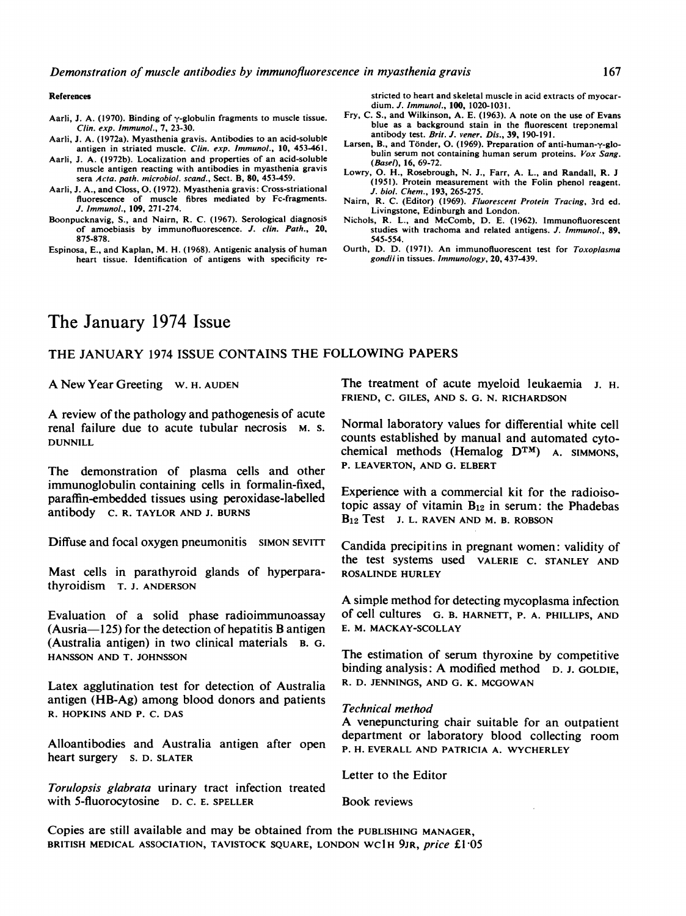Demonstration of muscle antibodies by immunofluorescence in myasthenia gravis

### References

stricted to heart and skeletal muscle in acid extracts of myocardium. J. Immunol., 100, 1020-1031.

- Aarli, J. A. (1970). Binding of  $\gamma$ -globulin fragments to muscle tissue. Clin. exp. Immunol., 7, 23-30.
- Aarli, J. A. (1972a). Myasthenia gravis. Antibodies to an acid-soluble antigen in striated muscle. Clin. exp. Immunol., 10, 453-461. Aarli, J. A. (1972b). Localization and properties of an acid-soluble
- muscle antigen reacting with antibodies in myasthenia gravis sera Acta. path. microbiol. scand., Sect. B, 80, 453-459.
- Aarli, J. A., and Closs, 0. (1972). Myasthenia gravis: Cross-striational fluorescence of muscle fibres mediated by Fc-fragments. J. Immunol., 109, 271-274.
- Boonpucknavig, S., and Nairn, R. C. (1967). Serological diagnosis of amoebiasis by immunofluorescence. J. clin. Path., 20, 875-878.
- Espinosa, E., and Kaplan, M. H. (1968). Antigenic analysis of human heart tissue. Identification of antigens with specificity re-
- Fry, C. S., and Wilkinson, A. E. (1963). A note on the use of Evans blue as a background stain in the fluorescent treponemal antibody test. Brit. J. vener. Dis., 39, 190-191.
- Larsen, B., and Tönder, O. (1969). Preparation of anti-human-y-globulin serum not containing human serum proteins. Vox Sang. (Basel), 16, 69-72.
- Lowry, 0. H., Rosebrough, N. J., Farr, A. L., and Randall, R. J (1951). Protein measurement with the Folin phenol reagent. J. biol. Chem., 193, 265-275.
- Nairn, R. C. (Editor) (1969). Fluorescent Protein Tracing, 3rd ed. Livingstone, Edinburgh and London.
- Nichols, R. L., and McComb, D. E. (1962). Immunofluorescent studies with trachoma and related antigens. J. Immunol., 89, 545-554.
- Ourth, D. D. (1971). An immunofluorescent test for Toxoplasma gondii in tissues. Immunology, 20, 437-439.

# The January 1974 Issue

# THE JANUARY <sup>1974</sup> ISSUE CONTAINS THE FOLLOWING PAPERS

A New Year Greeting w. H. AUDEN

A review of the pathology and pathogenesis of acute renal failure due to acute tubular necrosis M. S. DUNNILL

The demonstration of plasma cells and other immunoglobulin containing cells in formalin-fixed, paraffin-embedded tissues using peroxidase-labelled antibody C. R. TAYLOR AND J. BURNS

Diffuse and focal oxygen pneumonitis SIMON SEVITT

Mast cells in parathyroid glands of hyperparathyroidism T. J. ANDERSON

Evaluation of a solid phase radioimmunoassay  $(Ausria-125)$  for the detection of hepatitis B antigen (Australia antigen) in two clinical materials B. G. HANSSON AND T. JOHNSSON

Latex agglutination test for detection of Australia antigen (HB-Ag) among blood donors and patients R. HOPKINS AND P. C. DAS

Alloantibodies and Australia antigen after open heart surgery S. D. SLATER

Torulopsis glabrata urinary tract infection treated with 5-fluorocytosine D. C. E. SPELLER

The treatment of acute myeloid leukaemia J. H. FRIEND, C. GILES, AND S. G. N. RICHARDSON

Normal laboratory values for differential white cell counts established by manual and automated cytochemical methods (Hemalog DTM) A. SIMMONS, P. LEAVERTON, AND G. ELBERT

Experience with a commercial kit for the radioisotopic assay of vitamin  $B_{12}$  in serum: the Phadebas B<sub>12</sub> Test J. L. RAVEN AND M. B. ROBSON

Candida precipitins in pregnant women: validity of the test systems used VALERIE C. STANLEY AND ROSALINDE HURLEY

A simple method for detecting mycoplasma infection of cell cultures G. B. HARNETT, P. A. PHILLIPS, AND E. M. MACKAY-SCOLLAY

The estimation of serum thyroxine by competitive binding analysis: A modified method D. J. GOLDIE, R. D. JENNINGS, AND G. K. MCGOWAN

## Technical method

A venepuncturing chair suitable for an outpatient department or laboratory blood collecting room P. H. EVERALL AND PATRICIA A. WYCHERLEY

Letter to the Editor

Book reviews

Copies are still available and may be obtained from the PUBLISHING MANAGER, BRITISH MEDICAL ASSOCIATION, TAVISTOCK SQUARE, LONDON WC1H 9JR, price £1.05